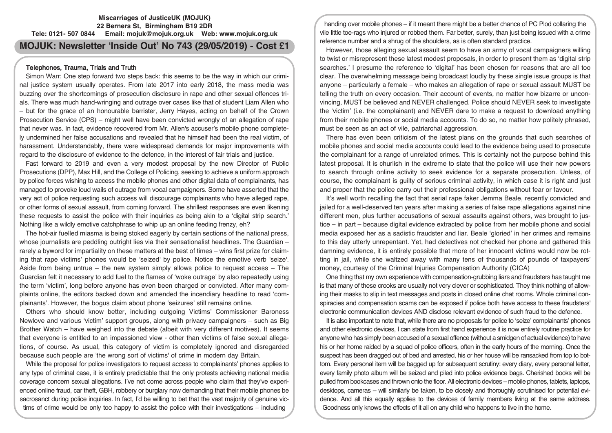# **Miscarriages of JusticeUK (MOJUK) 22 Berners St, Birmingham B19 2DR Tele: 0121- 507 0844 Email: mojuk@mojuk.org.uk Web: www.mojuk.org.uk**

# **MOJUK: Newsletter 'Inside Out' No 743 (29/05/2019) - Cost £1**

# Telephones, Trauma, Trials and Truth

Simon Warr: One step forward two steps back: this seems to be the way in which our criminal justice system usually operates. From late 2017 into early 2018, the mass media was buzzing over the shortcomings of prosecution disclosure in rape and other sexual offences trials. There was much hand-wringing and outrage over cases like that of student Liam Allen who – but for the grace of an honourable barrister, Jerry Hayes, acting on behalf of the Crown Prosecution Service (CPS) – might well have been convicted wrongly of an allegation of rape that never was. In fact, evidence recovered from Mr. Allen's accuser's mobile phone completely undermined her false accusations and revealed that he himself had been the real victim, of harassment. Understandably, there were widespread demands for major improvements with regard to the disclosure of evidence to the defence, in the interest of fair trials and justice.

Fast forward to 2019 and even a very modest proposal by the new Director of Public Prosecutions (DPP), Max Hill, and the College of Policing, seeking to achieve a uniform approach by police forces wishing to access the mobile phones and other digital data of complainants, has managed to provoke loud wails of outrage from vocal campaigners. Some have asserted that the very act of police requesting such access will discourage complainants who have alleged rape, or other forms of sexual assault, from coming forward. The shrillest responses are even likening these requests to assist the police with their inquiries as being akin to a 'digital strip search.' Nothing like a wildly emotive catchphrase to whip up an online feeding frenzy, eh?

The hot-air fuelled miasma is being stoked eagerly by certain sections of the national press, whose journalists are peddling outright lies via their sensationalist headlines. The Guardian rarely a byword for impartiality on these matters at the best of times – wins first prize for claiming that rape victims' phones would be 'seized' by police. Notice the emotive verb 'seize'. Aside from being untrue – the new system simply allows police to request access – The Guardian felt it necessary to add fuel to the flames of 'woke outrage' by also repeatedly using the term 'victim', long before anyone has even been charged or convicted. After many complaints online, the editors backed down and amended the incendiary headline to read 'complainants'. However, the bogus claim about phone 'seizures' still remains online.

Others who should know better, including outgoing Victims' Commissioner Baroness Newlove and various 'victim' support groups, along with privacy campaigners – such as Big Brother Watch – have weighed into the debate (albeit with very different motives). It seems that everyone is entitled to an impassioned view - other than victims of false sexual allegations, of course. As usual, this category of victim is completely ignored and disregarded because such people are 'the wrong sort of victims' of crime in modern day Britain.

While the proposal for police investigators to request access to complainants' phones applies to any type of criminal case, it is entirely predictable that the only protests achieving national media coverage concern sexual allegations. I've not come across people who claim that they've experienced online fraud, car theft, GBH, robbery or burglary now demanding that their mobile phones be sacrosanct during police inquiries. In fact, I'd be willing to bet that the vast majority of genuine victims of crime would be only too happy to assist the police with their investigations – including

handing over mobile phones – if it meant there might be a better chance of PC Plod collaring the vile little toe-rags who injured or robbed them. Far better, surely, than just being issued with a crime reference number and a shrug of the shoulders, as is often standard practice.

However, those alleging sexual assault seem to have an army of vocal campaigners willing to twist or misrepresent these latest modest proposals, in order to present them as 'digital strip searches.' I presume the reference to 'digital' has been chosen for reasons that are all too clear. The overwhelming message being broadcast loudly by these single issue groups is that anyone – particularly a female – who makes an allegation of rape or sexual assault MUST be telling the truth on every occasion. Their account of events, no matter how bizarre or unconvincing, MUST be believed and NEVER challenged. Police should NEVER seek to investigate the 'victim' (i.e. the complainant) and NEVER dare to make a request to download anything from their mobile phones or social media accounts. To do so, no matter how politely phrased, must be seen as an act of vile, patriarchal aggression.

There has even been criticism of the latest plans on the grounds that such searches of mobile phones and social media accounts could lead to the evidence being used to prosecute the complainant for a range of unrelated crimes. This is certainly not the purpose behind this latest proposal. It is churlish in the extreme to state that the police will use their new powers to search through online activity to seek evidence for a separate prosecution. Unless, of course, the complainant is guilty of serious criminal activity, in which case it is right and just and proper that the police carry out their professional obligations without fear or favour.

It's well worth recalling the fact that serial rape faker Jemma Beale, recently convicted and jailed for a well-deserved ten years after making a series of false rape allegations against nine different men, plus further accusations of sexual assaults against others, was brought to justice – in part – because digital evidence extracted by police from her mobile phone and social media exposed her as a sadistic fraudster and liar. Beale 'gloried' in her crimes and remains to this day utterly unrepentant. Yet, had detectives not checked her phone and gathered this damning evidence, it is entirely possible that more of her innocent victims would now be rotting in jail, while she waltzed away with many tens of thousands of pounds of taxpayers' money, courtesy of the Criminal Injuries Compensation Authority (CICA)

One thing that my own experience with compensation-grubbing liars and fraudsters has taught me is that many of these crooks are usually not very clever or sophisticated. They think nothing of allowing their masks to slip in text messages and posts in closed online chat rooms. Whole criminal conspiracies and compensation scams can be exposed if police both have access to these fraudsters' electronic communication devices AND disclose relevant evidence of such fraud to the defence.

It is also important to note that, while there are no proposals for police to 'seize' complainants' phones and other electronic devices, I can state from first hand experience it is now entirely routine practice for anyone who has simply been accused of a sexual offence (without a smidgen of actual evidence) to have his or her home raided by a squad of police officers, often in the early hours of the morning. Once the suspect has been dragged out of bed and arrested, his or her house will be ransacked from top to bottom. Every personal item will be bagged up for subsequent scrutiny: every diary, every personal letter, every family photo album will be seized and piled into police evidence bags. Cherished books will be pulled from bookcases and thrown onto the floor. All electronic devices – mobile phones, tablets, laptops, desktops, cameras – will similarly be taken, to be closely and thoroughly scrutinised for potential evidence. And all this equally applies to the devices of family members living at the same address. Goodness only knows the effects of it all on any child who happens to live in the home.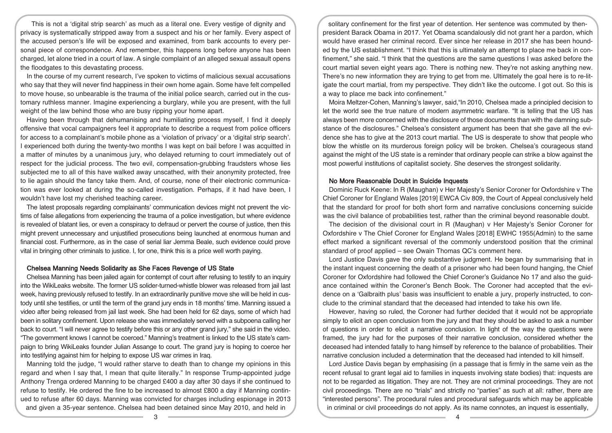This is not a 'digital strip search' as much as a literal one. Every vestige of dignity and privacy is systematically stripped away from a suspect and his or her family. Every aspect of the accused person's life will be exposed and examined, from bank accounts to every personal piece of correspondence. And remember, this happens long before anyone has been charged, let alone tried in a court of law. A single complaint of an alleged sexual assault opens the floodgates to this devastating process.

In the course of my current research, I've spoken to victims of malicious sexual accusations who say that they will never find happiness in their own home again. Some have felt compelled to move house, so unbearable is the trauma of the initial police search, carried out in the customary ruthless manner. Imagine experiencing a burglary, while you are present, with the full weight of the law behind those who are busy ripping your home apart.

Having been through that dehumanising and humiliating process myself, I find it deeply offensive that vocal campaigners feel it appropriate to describe a request from police officers for access to a complainant's mobile phone as a 'violation of privacy' or a 'digital strip search'. I experienced both during the twenty-two months I was kept on bail before I was acquitted in a matter of minutes by a unanimous jury, who delayed returning to court immediately out of respect for the judicial process. The two evil, compensation-grubbing fraudsters whose lies subjected me to all of this have walked away unscathed, with their anonymity protected, free to lie again should the fancy take them. And, of course, none of their electronic communication was ever looked at during the so-called investigation. Perhaps, if it had have been, I wouldn't have lost my cherished teaching career.

The latest proposals regarding complainants' communication devices might not prevent the victims of false allegations from experiencing the trauma of a police investigation, but where evidence is revealed of blatant lies, or even a conspiracy to defraud or pervert the course of justice, then this might prevent unnecessary and unjustified prosecutions being launched at enormous human and financial cost. Furthermore, as in the case of serial liar Jemma Beale, such evidence could prove vital in bringing other criminals to justice. I, for one, think this is a price well worth paying.

#### Chelsea Manning Needs Solidarity as She Faces Revenge of US State

Chelsea Manning has been jailed again for contempt of court after refusing to testify to an inquiry into the WikiLeaks website. The former US solider-turned-whistle blower was released from jail last week, having previously refused to testify. In an extraordinarily punitive move she will be held in custody until she testifies, or until the term of the grand jury ends in 18 months' time. Manning issued a video after being released from jail last week. She had been held for 62 days, some of which had been in solitary confinement. Upon release she was immediately served with a subpoena calling her back to court. "I will never agree to testify before this or any other grand jury," she said in the video. "The government knows I cannot be coerced." Manning's treatment is linked to the US state's campaign to bring WikiLeaks founder Julian Assange to court. The grand jury is hoping to coerce her into testifying against him for helping to expose US war crimes in Iraq.

Manning told the judge, "I would rather starve to death than to change my opinions in this regard and when I say that, I mean that quite literally." In response Trump-appointed judge Anthony Trenga ordered Manning to be charged £400 a day after 30 days if she continued to refuse to testify. He ordered the fine to be increased to almost £800 a day if Manning continued to refuse after 60 days. Manning was convicted for charges including espionage in 2013 and given a 35-year sentence. Chelsea had been detained since May 2010, and held in

solitary confinement for the first year of detention. Her sentence was commuted by thenpresident Barack Obama in 2017. Yet Obama scandalously did not grant her a pardon, which would have erased her criminal record. Ever since her release in 2017 she has been hounded by the US establishment. "I think that this is ultimately an attempt to place me back in confinement," she said. "I think that the questions are the same questions I was asked before the court martial seven eight years ago. There is nothing new. They're not asking anything new. There's no new information they are trying to get from me. Ultimately the goal here is to re-litigate the court martial, from my perspective. They didn't like the outcome. I got out. So this is a way to place me back into confinement."

Moira Meltzer-Cohen, Manning's lawyer, said,"In 2010, Chelsea made a principled decision to let the world see the true nature of modern asymmetric warfare. "It is telling that the US has always been more concerned with the disclosure of those documents than with the damning substance of the disclosures." Chelsea's consistent argument has been that she gave all the evidence she has to give at the 2013 court martial. The US is desperate to show that people who blow the whistle on its murderous foreign policy will be broken. Chelsea's courageous stand against the might of the US state is a reminder that ordinary people can strike a blow against the most powerful institutions of capitalist society. She deserves the strongest solidarity.

#### No More Reasonable Doubt in Suicide Inquests

Dominic Ruck Keene: In R (Maughan) v Her Majesty's Senior Coroner for Oxfordshire v The Chief Coroner for England Wales [2019] EWCA Civ 809, the Court of Appeal conclusively held that the standard for proof for both short form and narrative conclusions concerning suicide was the civil balance of probabilities test, rather than the criminal beyond reasonable doubt.

The decision of the divisional court in R (Maughan) v Her Majesty's Senior Coroner for Oxfordshire v The Chief Coroner for England Wales [2018] EWHC 1955(Admin) to the same effect marked a significant reversal of the commonly understood position that the criminal standard of proof applied – see Owain Thomas QC's comment here.

Lord Justice Davis gave the only substantive judgment. He began by summarising that in the instant inquest concerning the death of a prisoner who had been found hanging, the Chief Coroner for Oxfordshire had followed the Chief Coroner's Guidance No 17 and also the guidance contained within the Coroner's Bench Book. The Coroner had accepted that the evidence on a 'Galbraith plus' basis was insufficient to enable a jury, properly instructed, to conclude to the criminal standard that the deceased had intended to take his own life.

However, having so ruled, the Coroner had further decided that it would not be appropriate simply to elicit an open conclusion from the jury and that they should be asked to ask a number of questions in order to elicit a narrative conclusion. In light of the way the questions were framed, the jury had for the purposes of their narrative conclusion, considered whether the deceased had intended fatally to hang himself by reference to the balance of probabilities. Their narrative conclusion included a determination that the deceased had intended to kill himself.

Lord Justice Davis began by emphasising (in a passage that is firmly in the same vein as the recent refusal to grant legal aid to families in inquests involving state bodies) that: inquests are not to be regarded as litigation. They are not. They are not criminal proceedings. They are not civil proceedings. There are no "trials" and strictly no "parties" as such at all: rather, there are "interested persons". The procedural rules and procedural safeguards which may be applicable in criminal or civil proceedings do not apply. As its name connotes, an inquest is essentially,

 $\overline{3}$   $\overline{4}$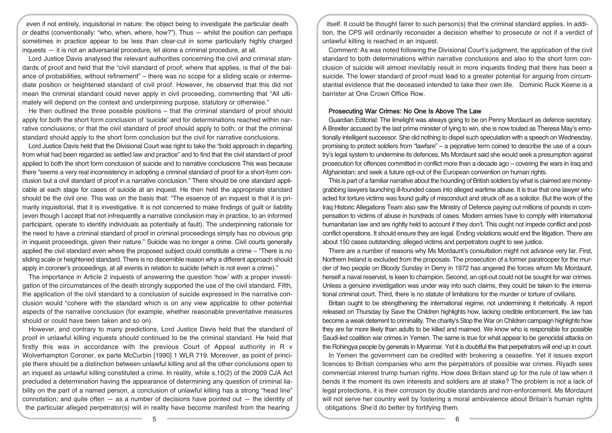even if not entirely, inquisitorial in nature: the object being to investigate the particular death or deaths (conventionally: "who, when, where, how?"). Thus — whilst the position can perhaps sometimes in practice appear to be less than clear-cut in some particularly highly charged inquests — it is not an adversarial procedure, let alone a criminal procedure, at all.

Lord Justice Davis analysed the relevant authorities concerning the civil and criminal standards of proof and held that the "civil standard of proof, where that applies, is that of the balance of probabilities, without refinement" – there was no scope for a sliding scale or intermediate position or heightened standard of civil proof. However, he observed that this did not mean the criminal standard could never apply in civil proceeding, commenting that "All ultimately will depend on the context and underpinning purpose, statutory or otherwise."

He then outlined the three possible positions – that the criminal standard of proof should apply for both the short form conclusion of 'suicide' and for determinations reached within narrative conclusions; or that the civil standard of proof should apply to both; or that the criminal standard should apply to the short form conclusion but the civil for narrative conclusions.

Lord Justice Davis held that the Divisional Court was right to take the "bold approach in departing from what had been regarded as settled law and practice" and to find that the civil standard of proof applied to both the short form conclusion of suicide and to narrative conclusions This was because there "seems a very real inconsistency in adopting a criminal standard of proof for a short-form conclusion but a civil standard of proof in a narrative conclusion." There should be one standard applicable at each stage for cases of suicide at an inquest. He then held the appropriate standard should be the civil one. This was on the basis that: "The essence of an inquest is that it is primarily inquisitorial, that it is investigative. It is not concerned to make findings of guilt or liability (even though I accept that not infrequently a narrative conclusion may in practice, to an informed participant, operate to identify individuals as potentially at fault). The underpinning rationale for the need to have a criminal standard of proof in criminal proceedings simply has no obvious grip in inquest proceedings, given their nature." Suicide was no longer a crime. Civil courts generally applied the civil standard even where the proposed subject could constitute a crime – "There is no sliding scale or heightened standard. There is no discernible reason why a different approach should apply in coroner's proceedings, at all events in relation to suicide (which is not even a crime)."

The importance in Article 2 inquests of answering the question 'how' with a proper investigation of the circumstances of the death strongly supported the use of the civil standard. Fifth, the application of the civil standard to a conclusion of suicide expressed in the narrative conclusion would "cohere with the standard which is on any view applicable to other potential aspects of the narrative conclusion (for example, whether reasonable preventative measures should or could have been taken and so on).

However, and contrary to many predictions, Lord Justice Davis held that the standard of proof in unlawful killing inquests should continued to be the criminal standard. He held that firstly this was in accordance with the previous Court of Appeal authority in R v Wolverhampton Coroner, ex parte McCurbin [1990] 1 WLR 719. Moreover, as point of principle there should be a distinction between unlawful killing and all the other conclusions open to an inquest as unlawful killing constituted a crime. In reality, while s.10(2) of the 2009 CJA Act precluded a determination having the appearance of determining any question of criminal liability on the part of a named person, a conclusion of unlawful killing has a strong "head line" connotation; and quite often  $-$  as a number of decisions have pointed out  $-$  the identity of the particular alleged perpetrator(s) will in reality have become manifest from the hearing

itself. It could be thought fairer to such person(s) that the criminal standard applies. In addition, the CPS will ordinarily reconsider a decision whether to prosecute or not if a verdict of unlawful killing is reached in an inquest.

Comment: As was noted following the Divisional Court's judgment, the application of the civil standard to both determinations within narrative conclusions and also to the short form conclusion of suicide will almost inevitably result in more inquests finding that there has been a suicide. The lower standard of proof must lead to a greater potential for arguing from circumstantial evidence that the deceased intended to take their own life. Dominic Ruck Keene is a barrister at One Crown Office Row.

#### Prosecuting War Crimes: No One Is Above The Law

Guardian Editorial: The limelight was always going to be on Penny Mordaunt as defence secretary. A Brexiter accused by the last prime minister of lying to win, she is now touted as Theresa May's emotionally intelligent successor. She did nothing to dispel such speculation with a speech on Wednesday, promising to protect soldiers from "lawfare" – a pejorative term coined to describe the use of a country's legal system to undermine its defences. Ms Mordaunt said she would seek a presumption against prosecution for offences committed in conflict more than a decade ago – covering the wars in Iraq and Afghanistan; and seek a future opt-out of the European convention on human rights.

This is part of a familiar narrative about the hounding of British soldiers by what is claimed are moneygrabbing lawyers launching ill-founded cases into alleged wartime abuse. It is true that one lawyer who acted for torture victims was found guilty of misconduct and struck off as a solicitor. But the work of the Iraq Historic Allegations Team also saw the Ministry of Defence paying out millions of pounds in compensation to victims of abuse in hundreds of cases. Modern armies have to comply with international humanitarian law and are rightly held to account if they don't. This ought not impede conflict and postconflict operations. It should ensure they are legal. Ending violations would end the litigation. There are about 150 cases outstanding; alleged victims and perpetrators ought to see justice.

There are a number of reasons why Ms Mordaunt's consultation might not advance very far. First, Northern Ireland is excluded from the proposals. The prosecution of a former paratrooper for the murder of two people on Bloody Sunday in Derry in 1972 has angered the forces whom Ms Mordaunt, herself a naval reservist, is keen to champion. Second, an opt-out could not be sought for war crimes. Unless a genuine investigation was under way into such claims, they could be taken to the international criminal court. Third, there is no statute of limitations for the murder or torture of civilians.

Britain ought to be strengthening the international regime, not undermining it rhetorically. A report released on Thursday by Save the Children highlights how, lacking credible enforcement, the law has become a weak deterrent to criminality. The charity's Stop the War on Children campaign highlights how they are far more likely than adults to be killed and maimed. We know who is responsible for possible Saudi-led coalition war crimes in Yemen. The same is true for what appear to be genocidal attacks on the Rohingya people by generals in Myanmar. Yet it is doubtful the that perpetrators will end up in court.

In Yemen the government can be credited with brokering a ceasefire. Yet it issues export licences to British companies who arm the perpetrators of possible war crimes. Riyadh sees commercial interest trump human rights. How does Britain stand up for the rule of law when it bends it the moment its own interests and soldiers are at stake? The problem is not a lack of legal protections, it is their corrosion by double standards and non-enforcement. Ms Mordaunt will not serve her country well by fostering a moral ambivalence about Britain's human rights obligations. She'd do better by fortifying them.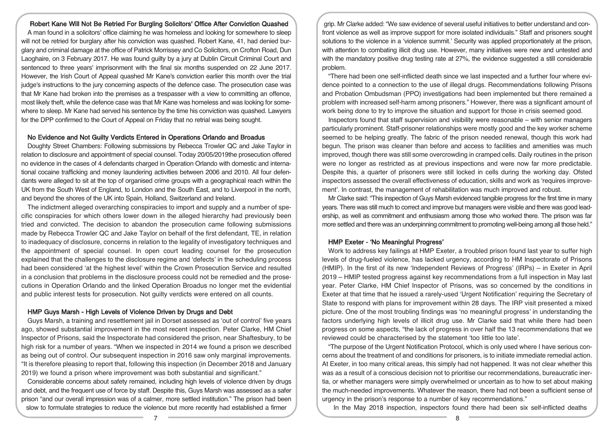### Robert Kane Will Not Be Retried For Burgling Solicitors' Office After Conviction Quashed

A man found in a solicitors' office claiming he was homeless and looking for somewhere to sleep will not be retried for burglary after his conviction was quashed. Robert Kane, 41, had denied burglary and criminal damage at the office of Patrick Morrissey and Co Solicitors, on Crofton Road, Dun Laoghaire, on 3 February 2017. He was found guilty by a jury at Dublin Circuit Criminal Court and sentenced to three years' imprisonment with the final six months suspended on 22 June 2017. However, the Irish Court of Appeal quashed Mr Kane's conviction earlier this month over the trial judge's instructions to the jury concerning aspects of the defence case. The prosecution case was that Mr Kane had broken into the premises as a trespasser with a view to committing an offence, most likely theft, while the defence case was that Mr Kane was homeless and was looking for somewhere to sleep. Mr Kane had served his sentence by the time his conviction was quashed. Lawyers for the DPP confirmed to the Court of Appeal on Friday that no retrial was being sought.

#### No Evidence and Not Guilty Verdicts Entered in Operations Orlando and Broadus

Doughty Street Chambers: Following submissions by Rebecca Trowler QC and Jake Taylor in relation to disclosure and appointment of special counsel. Today 20/05/2019the prosecution offered no evidence in the cases of 4 defendants charged in Operation Orlando with domestic and international cocaine trafficking and money laundering activities between 2006 and 2010. All four defendants were alleged to sit at the top of organised crime groups with a geographical reach within the UK from the South West of England, to London and the South East, and to Liverpool in the north, and beyond the shores of the UK into Spain, Holland, Switzerland and Ireland.

The indictment alleged overarching conspiracies to import and supply and a number of specific conspiracies for which others lower down in the alleged hierarchy had previously been tried and convicted. The decision to abandon the prosecution came following submissions made by Rebecca Trowler QC and Jake Taylor on behalf of the first defendant, TE, in relation to inadequacy of disclosure, concerns in relation to the legality of investigatory techniques and the appointment of special counsel. In open court leading counsel for the prosecution explained that the challenges to the disclosure regime and 'defects' in the scheduling process had been considered 'at the highest level' within the Crown Prosecution Service and resulted in a conclusion that problems in the disclosure process could not be remedied and the prosecutions in Operation Orlando and the linked Operation Broadus no longer met the evidential and public interest tests for prosecution. Not guilty verdicts were entered on all counts.

#### HMP Guys Marsh - High Levels of Violence Driven by Drugs and Debt

Guys Marsh, a training and resettlement jail in Dorset assessed as 'out of control' five years ago, showed substantial improvement in the most recent inspection. Peter Clarke, HM Chief Inspector of Prisons, said the Inspectorate had considered the prison, near Shaftesbury, to be high risk for a number of years. "When we inspected in 2014 we found a prison we described as being out of control. Our subsequent inspection in 2016 saw only marginal improvements. "It is therefore pleasing to report that, following this inspection (in December 2018 and January 2019) we found a prison where improvement was both substantial and significant."

Considerable concerns about safety remained, including high levels of violence driven by drugs and debt, and the frequent use of force by staff. Despite this, Guys Marsh was assessed as a safer prison "and our overall impression was of a calmer, more settled institution." The prison had been slow to formulate strategies to reduce the violence but more recently had established a firmer

grip. Mr Clarke added: "We saw evidence of several useful initiatives to better understand and confront violence as well as improve support for more isolated individuals." Staff and prisoners sought solutions to the violence in a 'violence summit.' Security was applied proportionately at the prison, with attention to combating illicit drug use. However, many initiatives were new and untested and with the mandatory positive drug testing rate at 27%, the evidence suggested a still considerable problem.

"There had been one self-inflicted death since we last inspected and a further four where evidence pointed to a connection to the use of illegal drugs. Recommendations following Prisons and Probation Ombudsman (PPO) investigations had been implemented but there remained a problem with increased self-harm among prisoners." However, there was a significant amount of work being done to try to improve the situation and support for those in crisis seemed good.

Inspectors found that staff supervision and visibility were reasonable – with senior managers particularly prominent. Staff-prisoner relationships were mostly good and the key worker scheme seemed to be helping greatly. The fabric of the prison needed renewal, though this work had begun. The prison was cleaner than before and access to facilities and amenities was much improved, though there was still some overcrowding in cramped cells. Daily routines in the prison were no longer as restricted as at previous inspections and were now far more predictable. Despite this, a quarter of prisoners were still locked in cells during the working day. Ofsted inspectors assessed the overall effectiveness of education, skills and work as 'requires improvement'. In contrast, the management of rehabilitation was much improved and robust.

Mr Clarke said: "This inspection of Guys Marsh evidenced tangible progress for the first time in many years. There was still much to correct and improve but managers were visible and there was good leadership, as well as commitment and enthusiasm among those who worked there. The prison was far more settled and there was an underpinning commitment to promoting well-being among all those held."

#### HMP Exeter - 'No Meaningful Progress'

Work to address key failings at HMP Exeter, a troubled prison found last year to suffer high levels of drug-fueled violence, has lacked urgency, according to HM Inspectorate of Prisons (HMIP). In the first of its new 'Independent Reviews of Progress' (IRPs) – in Exeter in April 2019 – HMIP tested progress against key recommendations from a full inspection in May last year. Peter Clarke, HM Chief Inspector of Prisons, was so concerned by the conditions in Exeter at that time that he issued a rarely-used 'Urgent Notification' requiring the Secretary of State to respond with plans for improvement within 28 days. The IRP visit presented a mixed picture. One of the most troubling findings was 'no meaningful progress' in understanding the factors underlying high levels of illicit drug use. Mr Clarke said that while there had been progress on some aspects, "the lack of progress in over half the 13 recommendations that we reviewed could be characterised by the statement 'too little too late'.

"The purpose of the Urgent Notification Protocol, which is only used where I have serious concerns about the treatment of and conditions for prisoners, is to initiate immediate remedial action. At Exeter, in too many critical areas, this simply had not happened. It was not clear whether this was as a result of a conscious decision not to prioritise our recommendations, bureaucratic inertia, or whether managers were simply overwhelmed or uncertain as to how to set about making the much-needed improvements. Whatever the reason, there had not been a sufficient sense of urgency in the prison's response to a number of key recommendations."

In the May 2018 inspection, inspectors found there had been six self-inflicted deaths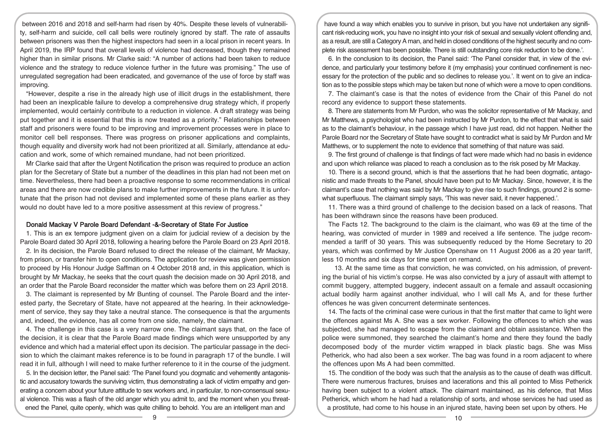between 2016 and 2018 and self-harm had risen by 40%. Despite these levels of vulnerability, self-harm and suicide, cell call bells were routinely ignored by staff. The rate of assaults between prisoners was then the highest inspectors had seen in a local prison in recent years. In April 2019, the IRP found that overall levels of violence had decreased, though they remained higher than in similar prisons. Mr Clarke said: "A number of actions had been taken to reduce violence and the strategy to reduce violence further in the future was promising." The use of unregulated segregation had been eradicated, and governance of the use of force by staff was improving.

"However, despite a rise in the already high use of illicit drugs in the establishment, there had been an inexplicable failure to develop a comprehensive drug strategy which, if properly implemented, would certainly contribute to a reduction in violence. A draft strategy was being put together and it is essential that this is now treated as a priority." Relationships between staff and prisoners were found to be improving and improvement processes were in place to monitor cell bell responses. There was progress on prisoner applications and complaints, though equality and diversity work had not been prioritized at all. Similarly, attendance at education and work, some of which remained mundane, had not been prioritized.

Mr Clarke said that after the Urgent Notification the prison was required to produce an action plan for the Secretary of State but a number of the deadlines in this plan had not been met on time. Nevertheless, there had been a proactive response to some recommendations in critical areas and there are now credible plans to make further improvements in the future. It is unfortunate that the prison had not devised and implemented some of these plans earlier as they would no doubt have led to a more positive assessment at this review of progress."

#### Donald Mackay V Parole Board Defendant -&-Secretary of State For Justice

1. This is an ex tempore judgment given on a claim for judicial review of a decision by the Parole Board dated 30 April 2018, following a hearing before the Parole Board on 23 April 2018.

2. In its decision, the Parole Board refused to direct the release of the claimant, Mr Mackay, from prison, or transfer him to open conditions. The application for review was given permission to proceed by His Honour Judge Saffman on 4 October 2018 and, in this application, which is brought by Mr Mackay, he seeks that the court quash the decision made on 30 April 2018, and an order that the Parole Board reconsider the matter which was before them on 23 April 2018.

3. The claimant is represented by Mr Bunting of counsel. The Parole Board and the interested party, the Secretary of State, have not appeared at the hearing. In their acknowledgement of service, they say they take a neutral stance. The consequence is that the arguments and, indeed, the evidence, has all come from one side, namely, the claimant.

4. The challenge in this case is a very narrow one. The claimant says that, on the face of the decision, it is clear that the Parole Board made findings which were unsupported by any evidence and which had a material effect upon its decision. The particular passage in the decision to which the claimant makes reference is to be found in paragraph 17 of the bundle. I will read it in full, although I will need to make further reference to it in the course of the judgment.

5. In the decision letter, the Panel said: 'The Panel found you dogmatic and vehemently antagonistic and accusatory towards the surviving victim, thus demonstrating a lack of victim empathy and generating a concern about your future attitude to sex workers and, in particular, to non-consensual sexual violence. This was a flash of the old anger which you admit to, and the moment when you threatened the Panel, quite openly, which was quite chilling to behold. You are an intelligent man and

have found a way which enables you to survive in prison, but you have not undertaken any significant risk-reducing work, you have no insight into your risk of sexual and sexually violent offending and, as a result, are still a Category A man, and held in closed conditions of the highest security and no complete risk assessment has been possible. There is still outstanding core risk reduction to be done.'.

6. In the conclusion to its decision, the Panel said: 'The Panel consider that, in view of the evidence, and particularly your testimony before it (my emphasis) your continued confinement is necessary for the protection of the public and so declines to release you.'. It went on to give an indication as to the possible steps which may be taken but none of which were a move to open conditions.

7. The claimant's case is that the notes of evidence from the Chair of this Panel do not record any evidence to support these statements.

8. There are statements from Mr Purdon, who was the solicitor representative of Mr Mackay, and Mr Matthews, a psychologist who had been instructed by Mr Purdon, to the effect that what is said as to the claimant's behaviour, in the passage which I have just read, did not happen. Neither the Parole Board nor the Secretary of State have sought to contradict what is said by Mr Purdon and Mr Matthews, or to supplement the note to evidence that something of that nature was said.

9. The first ground of challenge is that findings of fact were made which had no basis in evidence and upon which reliance was placed to reach a conclusion as to the risk posed by Mr Mackay.

10. There is a second ground, which is that the assertions that he had been dogmatic, antagonistic and made threats to the Panel, should have been put to Mr Mackay. Since, however, it is the claimant's case that nothing was said by Mr Mackay to give rise to such findings, ground 2 is somewhat superfluous. The claimant simply says, 'This was never said, it never happened.'.

11. There was a third ground of challenge to the decision based on a lack of reasons. That has been withdrawn since the reasons have been produced.

The Facts 12. The background to the claim is the claimant, who was 69 at the time of the hearing, was convicted of murder in 1989 and received a life sentence. The judge recommended a tariff of 30 years. This was subsequently reduced by the Home Secretary to 20 years, which was confirmed by Mr Justice Openshaw on 11 August 2006 as a 20 year tariff, less 10 months and six days for time spent on remand.

13. At the same time as that conviction, he was convicted, on his admission, of preventing the burial of his victim's corpse. He was also convicted by a jury of assault with attempt to commit buggery, attempted buggery, indecent assault on a female and assault occasioning actual bodily harm against another individual, who I will call Ms A, and for these further offences he was given concurrent determinate sentences.

14. The facts of the criminal case were curious in that the first matter that came to light were the offences against Ms A. She was a sex worker. Following the offences to which she was subjected, she had managed to escape from the claimant and obtain assistance. When the police were summoned, they searched the claimant's home and there they found the badly decomposed body of the murder victim wrapped in black plastic bags. She was Miss Petherick, who had also been a sex worker. The bag was found in a room adjacent to where the offences upon Ms A had been committed.

15. The condition of the body was such that the analysis as to the cause of death was difficult. There were numerous fractures, bruises and lacerations and this all pointed to Miss Petherick having been subject to a violent attack. The claimant maintained, as his defence, that Miss Petherick, which whom he had had a relationship of sorts, and whose services he had used as a prostitute, had come to his house in an injured state, having been set upon by others. He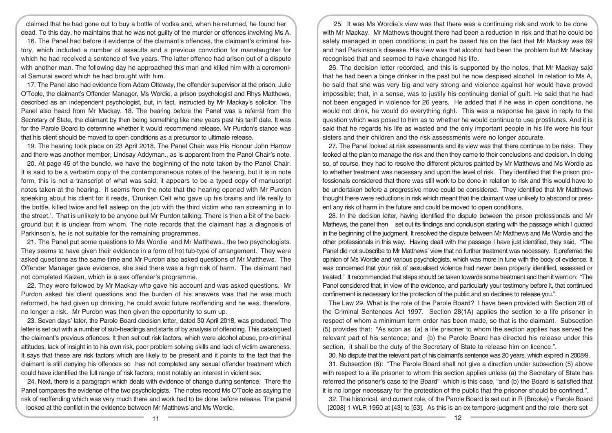claimed that he had gone out to buy a bottle of vodka and, when he returned, he found her dead. To this day, he maintains that he was not guilty of the murder or offences involving Ms A.

16. The Panel had before it evidence of the claimant's offences, the claimant's criminal history, which included a number of assaults and a previous conviction for manslaughter for which he had received a sentence of five years. The latter offence had arisen out of a dispute with another man. The following day he approached this man and killed him with a ceremonial Samurai sword which he had brought with him.

17. The Panel also had evidence from Adam Ottoway, the offender supervisor at the prison, Julie O'Toole, the claimant's Offender Manager, Ms Wordie, a prison psychologist and Rhys Matthews, described as an independent psychologist, but, in fact, instructed by Mr Mackay's solicitor. The Panel also heard from Mr Mackay. 18. The hearing before the Panel was a referral from the Secretary of State, the claimant by then being something like nine years past his tariff date. It was for the Parole Board to determine whether it would recommend release. Mr Purdon's stance was that his client should be moved to open conditions as a precursor to ultimate release.

19. The hearing took place on 23 April 2018. The Panel Chair was His Honour John Harrow and there was another member, Lindsay Addyman., as is apparent from the Panel Chair's note.

20. At page 45 of the bundle, we have the beginning of the note taken by the Panel Chair. It is said to be a verbatim copy of the contemporaneous notes of the hearing, but it is in note form, this is not a transcript of what was said; it appears to be a typed copy of manuscript notes taken at the hearing. It seems from the note that the hearing opened with Mr Purdon speaking about his client for it reads, 'Drunken Celt who gave up his brains and life really to the bottle, killed twice and fell asleep on the job with the third victim who ran screaming in to the street.'. That is unlikely to be anyone but Mr Purdon talking. There is then a bit of the background but it is unclear from whom. The note records that the claimant has a diagnosis of Parkinson's, he is not suitable for the remaining programmes.

21. The Panel put some questions to Ms Wordie and Mr Matthews., the two psychologists. They seems to have given their evidence in a form of hot tub-type of arrangement. They were asked questions as the same time and Mr Purdon also asked questions of Mr Matthews. The Offender Manager gave evidence, she said there was a high risk of harm. The claimant had not completed Kaizen, which is a sex offender's programme.

22. They were followed by Mr Mackay who gave his account and was asked questions. Mr Purdon asked his client questions and the burden of his answers was that he was much reformed, he had given up drinking, he could avoid future reoffending and he was, therefore, no longer a risk. Mr Purdon was then given the opportunity to sum up.

23. Seven days' later, the Parole Board decision letter, dated 30 April 2018, was produced. The letter is set out with a number of sub-headings and starts of by analysis of offending. This catalogued the claimant's previous offences. It then set out risk factors, which were alcohol abuse, pro-criminal attitudes, lack of insight in to his own risk, poor problem solving skills and lack of victim awareness. It says that these are risk factors which are likely to be present and it points to the fact that the claimant is still denying his offences so has not completed any sexual offender treatment which could have identified the full range of risk factors, most notably an interest in violent sex.

24. Next, there is a paragraph which deals with evidence of change during sentence. There the Panel compares the evidence of the two psychologists. The notes record Ms O'Toole as saying the risk of reoffending which was very much there and work had to be done before release. The panel looked at the conflict in the evidence between Mr Matthews and Ms Wordie.

25. It was Ms Wordie's view was that there was a continuing risk and work to be done with Mr Mackay. Mr Mathews thought there had been a reduction in risk and that he could be safely managed in open conditions; in part he based his on the fact that Mr Mackay was 69 and had Parkinson's disease. His view was that alcohol had been the problem but Mr Mackay recognised that and seemed to have changed his life.

26. The decision letter recorded, and this is supported by the notes, that Mr Mackay said that he had been a binge drinker in the past but he now despised alcohol. In relation to Ms A, he said that she was very big and very strong and violence against her would have proved impossible; that, in a sense, was to justify his continuing denial of guilt. He said that he had not been engaged in violence for 26 years. He added that if he was in open conditions, he would not drink, he would do everything right. This was a response he gave in reply to the question which was posed to him as to whether he would continue to use prostitutes. And it is said that he regards his life as wasted and the only important people in his life were his four sisters and their children and the risk assessments were no longer accurate.

27. The Panel looked at risk assessments and its view was that there continue to be risks. They looked at the plan to manage the risk and then they came to their conclusions and decision. In doing so, of course, they had to resolve the different pictures painted by Mr Matthews and Ms Wordie as to whether treatment was necessary and upon the level of risk. They identified that the prison professionals considered that there was still work to be done in relation to risk and this would have to be undertaken before a progressive move could be considered. They identified that Mr Matthews thought there were reductions in risk which meant that the claimant was unlikely to abscond or present any risk of harm in the future and could be moved to open conditions.

28. In the decision letter, having identified the dispute between the prison professionals and Mr Mathews, the panel then set out its findings and conclusion starting with the passage which I quoted in the beginning of the judgment. It resolved the dispute between Mr Matthews and Ms Wordie and the other professionals in this way. Having dealt with the passage I have just identified, they said, "The Panel did not subscribe to Mr Matthews' view that no further treatment was necessary. It preferred the opinion of Ms Wordie and various psychologists, which was more in tune with the body of evidence. It was concerned that your risk of sexualised violence had never been properly identified, assessed or treated." It recommended that steps should be taken towards some treatment and then it went on: "The Panel considered that, in view of the evidence, and particularly your testimony before it, that continued confinement is necessary for the protection of the public and so declines to release you.".

The Law 29. What is the role of the Parole Board? I have been provided with Section 28 of the Criminal Sentences Act 1997. Section 28(1A) applies the section to a life prisoner in respect of whom a minimum term order has been made, so that is the claimant. Subsection (5) provides that: "As soon as (a) a life prisoner to whom the section applies has served the relevant part of his sentence; and (b) the Parole Board has directed his release under this section, it shall be the duty of the Secretary of State to release him on licence.".

30. No dispute that the relevant part of his claimant's sentence was 20 years, which expired in 2008/9. 31. Subsection (6): "The Parole Board shall not give a direction under subsection (5) above with respect to a life prisoner to whom this section applies unless (a) the Secretary of State has referred the prisoner's case to the Board" which is this case, "and (b) the Board is satisfied that it is no longer necessary for the protection of the public that the prisoner should be confined.".

32. The historical, and current role, of the Parole Board is set out in R (Brooke) v Parole Board [2008] 1 WLR 1950 at [43] to [53]. As this is an ex tempore judgment and the role there set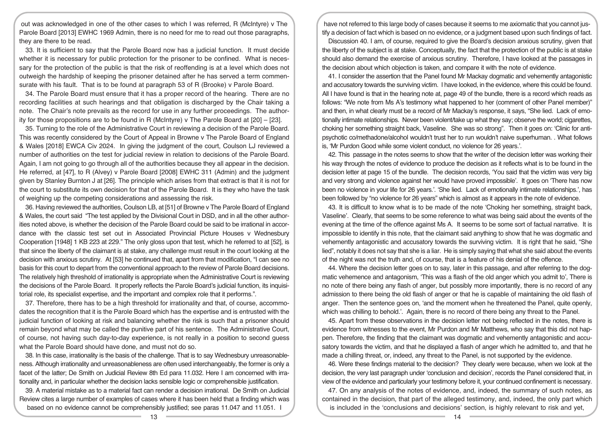out was acknowledged in one of the other cases to which I was referred, R (McIntyre) v The Parole Board [2013] EWHC 1969 Admin, there is no need for me to read out those paragraphs, they are there to be read.

33. It is sufficient to say that the Parole Board now has a judicial function. It must decide whether it is necessary for public protection for the prisoner to be confined. What is necessary for the protection of the public is that the risk of reoffending is at a level which does not outweigh the hardship of keeping the prisoner detained after he has served a term commensurate with his fault. That is to be found at paragraph 53 of R (Brooke) v Parole Board.

34. The Parole Board must ensure that it has a proper record of the hearing. There are no recording facilities at such hearings and that obligation is discharged by the Chair taking a note. The Chair's note prevails as the record for use in any further proceedings. The authority for those propositions are to be found in R (McIntyre) v The Parole Board at [20] – [23].

35. Turning to the role of the Administrative Court in reviewing a decision of the Parole Board. This was recently considered by the Court of Appeal in Browne v The Parole Board of England & Wales [2018] EWCA Civ 2024. In giving the judgment of the court, Coulson LJ reviewed a number of authorities on the test for judicial review in relation to decisions of the Parole Board. Again, I am not going to go through all of the authorities because they all appear in the decision. He referred, at [47], to R (Alvey) v Parole Board [2008] EWHC 311 (Admin) and the judgment given by Stanley Burnton J at [26]. The principle which arises from that extract is that it is not for the court to substitute its own decision for that of the Parole Board. It is they who have the task of weighing up the competing considerations and assessing the risk.

36. Having reviewed the authorities, Coulson LB, at [51] of Browne v The Parole Board of England & Wales, the court said "The test applied by the Divisional Court in DSD, and in all the other authorities noted above, is whether the decision of the Parole Board could be said to be irrational in accordance with the classic test set out in Associated Provincial Picture Houses v Wednesbury Cooperation [1948] 1 KB 223 at 229." The only gloss upon that test, which he referred to at [52], is that since the liberty of the claimant is at stake, any challenge must result in the court looking at the decision with anxious scrutiny. At [53] he continued that, apart from that modification, "I can see no basis for this court to depart from the conventional approach to the review of Parole Board decisions. The relatively high threshold of irrationality is appropriate when the Administrative Court is reviewing the decisions of the Parole Board. It properly reflects the Parole Board's judicial function, its inquisitorial role, its specialist expertise, and the important and complex role that it performs.".

37. Therefore, there has to be a high threshold for irrationality and that, of course, accommodates the recognition that it is the Parole Board which has the expertise and is entrusted with the judicial function of looking at risk and balancing whether the risk is such that a prisoner should remain beyond what may be called the punitive part of his sentence. The Administrative Court, of course, not having such day-to-day experience, is not really in a position to second guess what the Parole Board should have done, and must not do so.

38. In this case, irrationality is the basis of the challenge. That is to say Wednesbury unreasonableness. Although irrationality and unreasonableness are often used interchangeably, the former is only a facet of the latter; De Smith on Judicial Review 8th Ed para 11.032. Here I am concerned with irrationality and, in particular whether the decision lacks sensible logic or comprehensible justification.

39. A material mistake as to a material fact can render a decision irrational. De Smith on Judicial Review cites a large number of examples of cases where it has been held that a finding which was based on no evidence cannot be comprehensibly justified; see paras 11.047 and 11.051. I

have not referred to this large body of cases because it seems to me axiomatic that you cannot justify a decision of fact which is based on no evidence, or a judgment based upon such findings of fact.

Discussion 40. I am, of course, required to give the Board's decision anxious scrutiny, given that the liberty of the subject is at stake. Conceptually, the fact that the protection of the public is at stake should also demand the exercise of anxious scrutiny. Therefore, I have looked at the passages in the decision about which objection is taken, and compare it with the note of evidence.

41. I consider the assertion that the Panel found Mr Mackay dogmatic and vehemently antagonistic and accusatory towards the surviving victim. I have looked, in the evidence, where this could be found. All I have found is that in the hearing note at, page 49 of the bundle, there is a record which reads as follows: "We note from Ms A's testimony what happened to her (comment of other Panel member)" and then, in what clearly must be a record of Mr Mackay's response, it says, "She lied. Lack of emotionally intimate relationships. Never been violent/take up what they say; observe the world; cigarettes, choking her something straight back, Vaseline. She was so strong". Then it goes on: 'Clinic for antipsychotic co/methadone/alcohol wouldn't trust her to run wouldn't naive superhuman. . What follows is, 'Mr Purdon Good while some violent conduct, no violence for 26 years.'.

42. This passage in the notes seems to show that the writer of the decision letter was working their his way through the notes of evidence to produce the decision as it reflects what is to be found in the decision letter at page 15 of the bundle. The decision records, 'You said that the victim was very big and very strong and violence against her would have proved impossible'. It goes on 'There has now been no violence in your life for 26 years.'. 'She lied. Lack of emotionally intimate relationships.', has been followed by "no violence for 26 years" which is almost as it appears in the note of evidence.

43. It is difficult to know what is to be made of the note 'Choking her something, straight back, Vaseline'. Clearly, that seems to be some reference to what was being said about the events of the evening at the time of the offence against Ms A. It seems to be some sort of factual narrative. It is impossible to identify in this note, that the claimant said anything to show that he was dogmatic and vehemently antagonistic and accusatory towards the surviving victim. It is right that he said, "She lied", notably it does not say that she is a liar. He is simply saying that what she said about the events of the night was not the truth and, of course, that is a feature of his denial of the offence.

44. Where the decision letter goes on to say, later in this passage, and after referring to the dogmatic vehemence and antagonism, 'This was a flash of the old anger which you admit to', There is no note of there being any flash of anger, but possibly more importantly, there is no record of any admission to there being the old flash of anger or that he is capable of maintaining the old flash of anger. Then the sentence goes on, 'and the moment when he threatened the Panel, quite openly, which was chilling to behold.'. Again, there is no record of there being any threat to the Panel.

45. Apart from these observations in the decision letter not being reflected in the notes, there is evidence from witnesses to the event, Mr Purdon and Mr Matthews, who say that this did not happen. Therefore, the finding that the claimant was dogmatic and vehemently antagonistic and accusatory towards the victim, and that he displayed a flash of anger which he admitted to, and that he made a chilling threat, or, indeed, any threat to the Panel, is not supported by the evidence.

46. Were these findings material to the decision? They clearly were because, when we look at the decision, the very last paragraph under 'conclusion and decision', records the Panel considered that, in view of the evidence and particularly your testimony before it, your continued confinement is necessary.

47. On any analysis of the notes of evidence, and, indeed, the summary of such notes, as contained in the decision, that part of the alleged testimony, and, indeed, the only part which is included in the 'conclusions and decisions' section, is highly relevant to risk and yet,